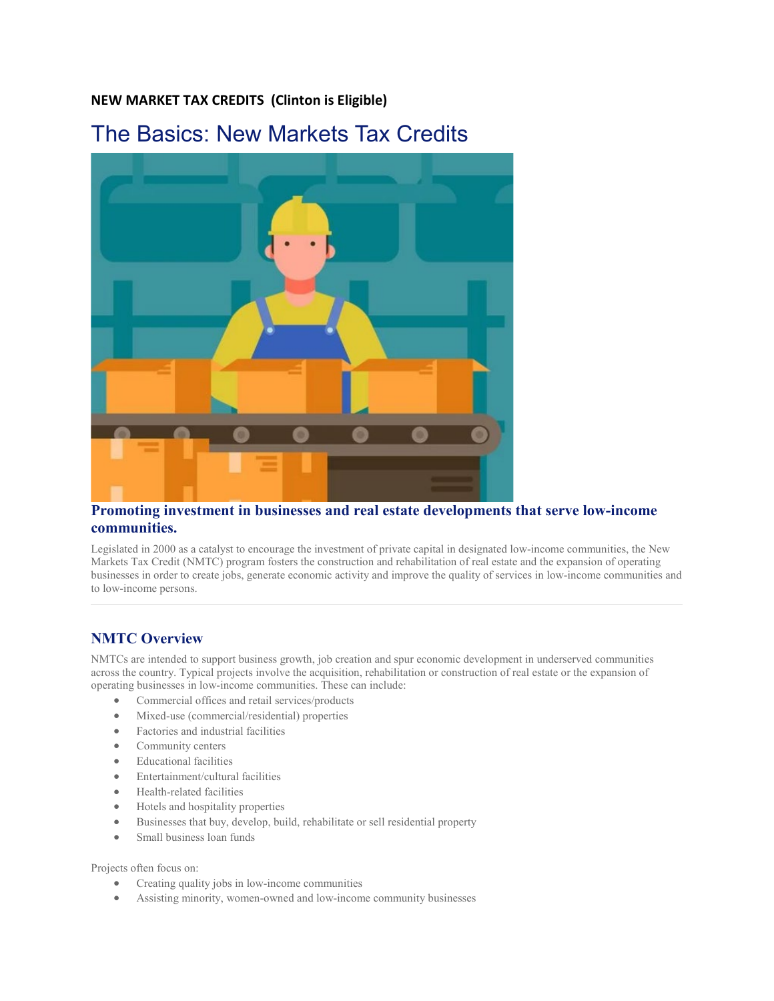#### **NEW MARKET TAX CREDITS (Clinton is Eligible)**

# The Basics: New Markets Tax Credits



#### **Promoting investment in businesses and real estate developments that serve low-income communities.**

Legislated in 2000 as a catalyst to encourage the investment of private capital in designated low-income communities, the New Markets Tax Credit (NMTC) program fosters the construction and rehabilitation of real estate and the expansion of operating businesses in order to create jobs, generate economic activity and improve the quality of services in low-income communities and to low-income persons.

## **NMTC Overview**

NMTCs are intended to support business growth, job creation and spur economic development in underserved communities across the country. Typical projects involve the acquisition, rehabilitation or construction of real estate or the expansion of operating businesses in low-income communities. These can include:

- Commercial offices and retail services/products
- Mixed-use (commercial/residential) properties
- Factories and industrial facilities
- Community centers
- Educational facilities
- Entertainment/cultural facilities
- Health-related facilities
- Hotels and hospitality properties
- Businesses that buy, develop, build, rehabilitate or sell residential property
- Small business loan funds

Projects often focus on:

- Creating quality jobs in low-income communities
- Assisting minority, women-owned and low-income community businesses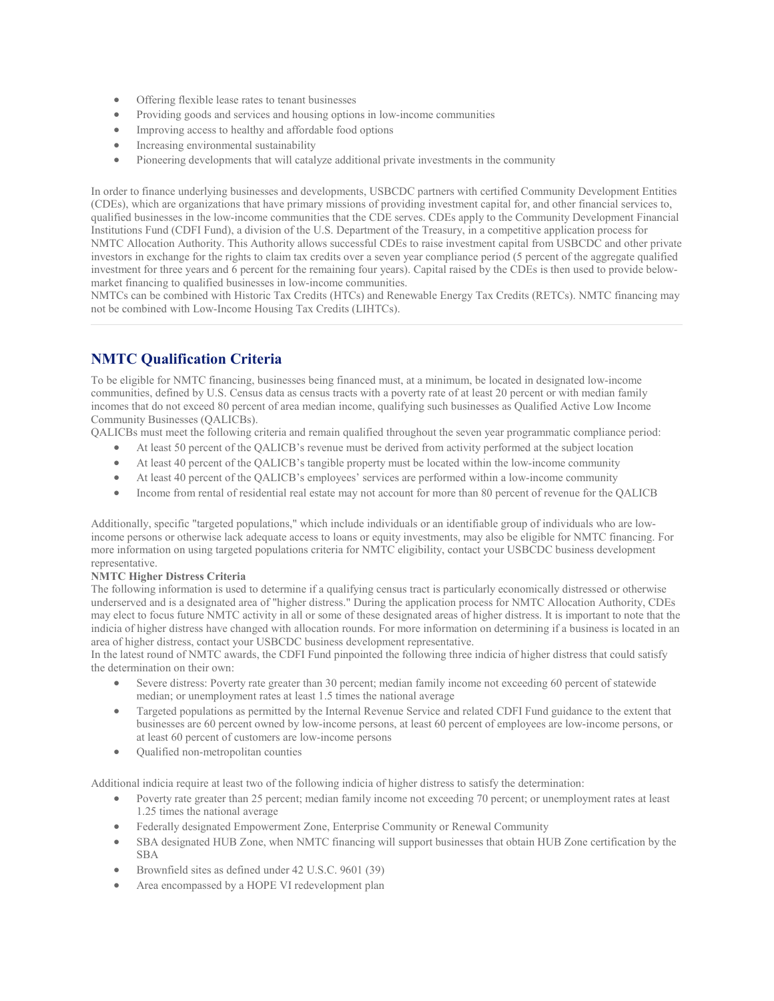- Offering flexible lease rates to tenant businesses
- Providing goods and services and housing options in low-income communities
- Improving access to healthy and affordable food options
- Increasing environmental sustainability
- Pioneering developments that will catalyze additional private investments in the community

In order to finance underlying businesses and developments, USBCDC partners with certified Community Development Entities (CDEs), which are organizations that have primary missions of providing investment capital for, and other financial services to, qualified businesses in the low-income communities that the CDE serves. CDEs apply to the Community Development Financial Institutions Fund (CDFI Fund), a division of the U.S. Department of the Treasury, in a competitive application process for NMTC Allocation Authority. This Authority allows successful CDEs to raise investment capital from USBCDC and other private investors in exchange for the rights to claim tax credits over a seven year compliance period (5 percent of the aggregate qualified investment for three years and 6 percent for the remaining four years). Capital raised by the CDEs is then used to provide belowmarket financing to qualified businesses in low-income communities.

NMTCs can be combined with Historic Tax Credits (HTCs) and Renewable Energy Tax Credits (RETCs). NMTC financing may not be combined with Low-Income Housing Tax Credits (LIHTCs).

## **NMTC Qualification Criteria**

To be eligible for NMTC financing, businesses being financed must, at a minimum, be located in designated low-income communities, defined by U.S. Census data as census tracts with a poverty rate of at least 20 percent or with median family incomes that do not exceed 80 percent of area median income, qualifying such businesses as Qualified Active Low Income Community Businesses (QALICBs).

QALICBs must meet the following criteria and remain qualified throughout the seven year programmatic compliance period:

- At least 50 percent of the QALICB's revenue must be derived from activity performed at the subject location
- At least 40 percent of the QALICB's tangible property must be located within the low-income community
- At least 40 percent of the QALICB's employees' services are performed within a low-income community
- Income from rental of residential real estate may not account for more than 80 percent of revenue for the QALICB

Additionally, specific "targeted populations," which include individuals or an identifiable group of individuals who are lowincome persons or otherwise lack adequate access to loans or equity investments, may also be eligible for NMTC financing. For more information on using targeted populations criteria for NMTC eligibility, contact your USBCDC business development representative.

#### **NMTC Higher Distress Criteria**

The following information is used to determine if a qualifying census tract is particularly economically distressed or otherwise underserved and is a designated area of "higher distress." During the application process for NMTC Allocation Authority, CDEs may elect to focus future NMTC activity in all or some of these designated areas of higher distress. It is important to note that the indicia of higher distress have changed with allocation rounds. For more information on determining if a business is located in an area of higher distress, contact your USBCDC business development representative.

In the latest round of NMTC awards, the CDFI Fund pinpointed the following three indicia of higher distress that could satisfy the determination on their own:

- Severe distress: Poverty rate greater than 30 percent; median family income not exceeding 60 percent of statewide median; or unemployment rates at least 1.5 times the national average
- Targeted populations as permitted by the Internal Revenue Service and related CDFI Fund guidance to the extent that businesses are 60 percent owned by low-income persons, at least 60 percent of employees are low-income persons, or at least 60 percent of customers are low-income persons
- Qualified non-metropolitan counties

Additional indicia require at least two of the following indicia of higher distress to satisfy the determination:

- Poverty rate greater than 25 percent; median family income not exceeding 70 percent; or unemployment rates at least 1.25 times the national average
- Federally designated Empowerment Zone, Enterprise Community or Renewal Community
- SBA designated HUB Zone, when NMTC financing will support businesses that obtain HUB Zone certification by the SBA
- Brownfield sites as defined under 42 U.S.C. 9601 (39)
- Area encompassed by a HOPE VI redevelopment plan